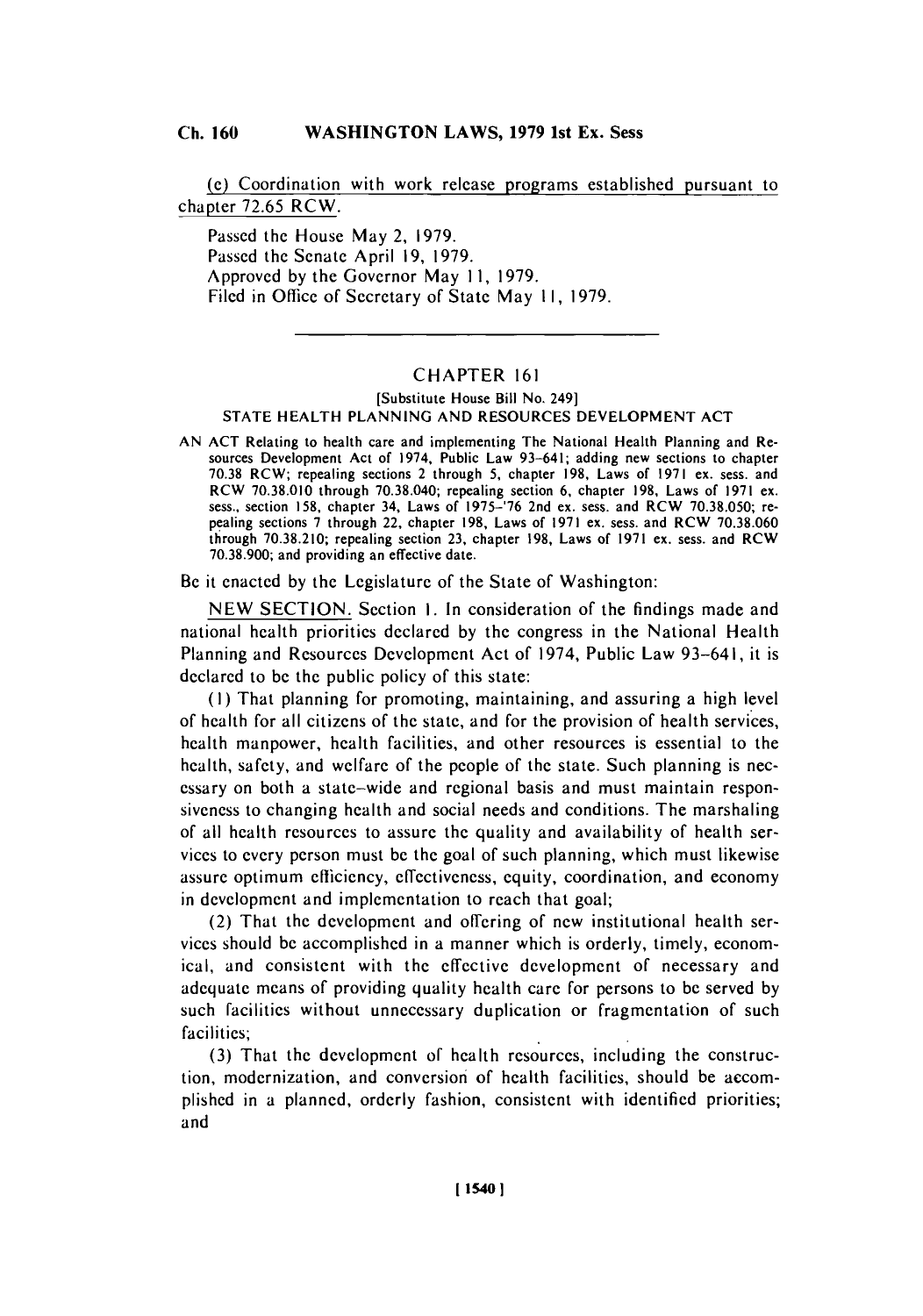**(e)** Coordination with work release programs established pursuant to chapter **72.65** RCW.

Passed the House May 2, **1979.** Passed the Senate April **19, 1979.** Approved **by** the Governor May **11, 1979.** Filed in Office of Secretary of State May **11, 1979.**

# CHAPTER **161**

### [Substitute House Bill No. 249] **STATE** HEALTH **PLANNING AND RESOURCES DEVELOPMENT ACT**

**AN ACT** Relating to health care and implementing The National Health Planning and Resources Development Act of 1974, Public Law 93-641; adding new sections to chapter **70.38** RCW; repealing sections 2 through **5,** chapter **198,** Laws of **1971** ex. sess. and RCW **70.38.010** through **70.38.040;** repealing section **6,** chapter **198,** Laws of **1971** ex. sess., section **158,** chapter 34, Laws of **1975-'76** 2nd ex. sess. and RCW **70.38.050;** repealing sections **7** through 22, chapter **198,** Laws of **1971** ex. sess. and RCW **70.38.060** through **70.38.210;** repealing section **23,** chapter **198,** Laws of **1971** ex. sess. and RCW **70.38.900;** and providing an effective date.

Be it enacted **by** the Legislature of the State of Washington:

**NEW SECTION.** Section **I.** In consideration of the findings made and national health priorities declared **by** the congress in the National Health Planning and Resources Development Act of 1974, Public Law 93-641, it is declared to **be** the public policy of this state:

**(I)** That planning for promoting, maintaining, and assuring a high level of health for all citizens of the state, and for the provision of health services, health manpower, health facilities, and other resources is essential to the health, safety, and welfare of the people of the state. Such planning is necessary on both a state-wide and regional basis and must maintain responsiveness to changing health and social needs and conditions. The marshaling of all health resources to assure the quality and availability of health services to every person must be the goal of such planning, which must likewise assure optimum efficiency, effectiveness, equity, coordination, and economy in development and implementation to reach that goal;

(2) That the development and offering of new institutional health services should be accomplished in a manner which is orderly, timely, economical, and consistent with the effective development of necessary and adequate means of providing quality health care for persons to be served **by** such facilities without unnecessary duplication or fragmentation of such facilities;

**(3)** That the development of health resources, including the construction, modernization, and conversion of health facilities, should be accomplished in a planned, orderly fashion, consistent with identified priorities; and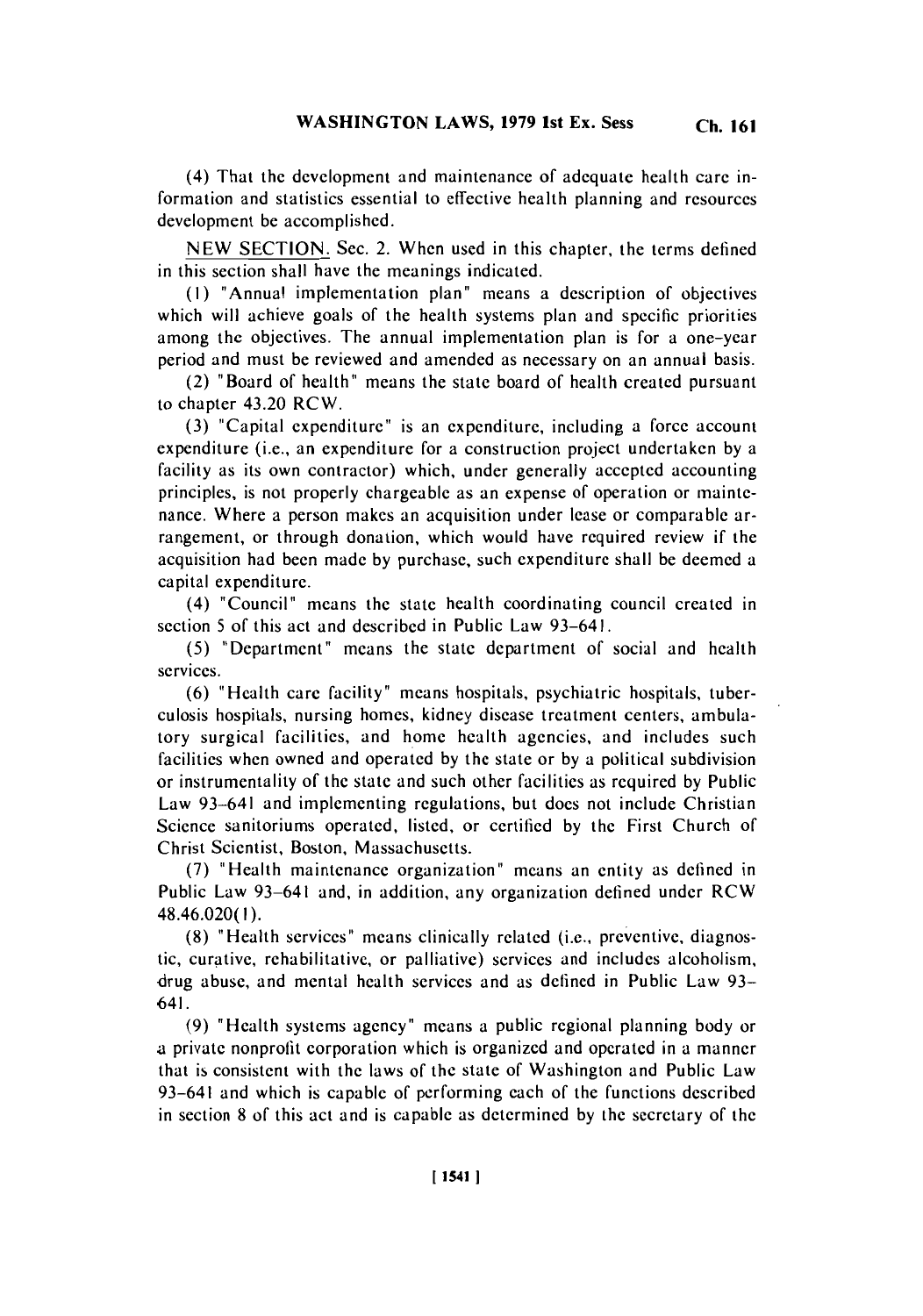(4) That the development and maintenance of adequate health care information and statistics essential to effective health planning and resources development be accomplished.

**NEW SECTION.** Sec. 2. When used in this chapter, the terms defined in this section shall have the meanings indicated.

**(1)** "Annual implementation plan" means a description of objectives which will achieve goals of the health systems plan and specific priorities among the objectives. The annual implementation plan is for a one-year period and must be reviewed and amended as necessary on an annual basis.

(2) "Board of health" means the state board of health created pursuant to chapter 43.20 RCW.

**(3)** "Capital expenditure" is an expenditure, including a force account expenditure (i.e., an expenditure for a construction project undertaken **by** a facility as its own contractor) which, under generally accepted accounting principles, is not properly chargeable as an expense of operation or maintenance. Where a person makes an acquisition under lease or comparable arrangement, or through donation, which would have required review if the acquisition had been made **by** purchase, such expenditure shall be deemed a capital expenditure.

(4) "Council" means the state health coordinating council created in section **5** of this act and described in Public Law 93-641.

**(5)** "Department" means the state department of social and health services.

**(6)** "Health care facility" means hospitals, psychiatric hospitals, tuberculosis hospitals, nursing homes, kidney disease treatment centers, ambulatory surgical facilities, and home health agencies, and includes such facilities when owned and operated **by** the state or **by** a political subdivision or instrumentality of the state and such other facilities as required **by** Public Law 93-641 and implementing regulations, but does not include Christian Science sanitoriums operated, listed, or certified **by** the First Church of Christ Scientist, Boston, Massachusetts.

**(7)** "Health maintenance organization" means an entity as defined in Public Law 93-641 and, in addition, any organization defined under RCW 48.46.020(l).

**(8)** "Health services" means clinically related (i.e., preventive, diagnostic, curative, rehabilitative, or palliative) services and includes alcoholism, drug abuse, and mental health services and as defined in Public Law **93-** 641.

**(9)** "Health systems agency" means a public regional planning body or a private nonprofit corporation which is organized and operated in a manner that is consistent with the laws of the state of Washington and Public Law 93-641 and which is capable of performing each of the functions described in section **8** of this act and is capable as determined **by** the secretary of the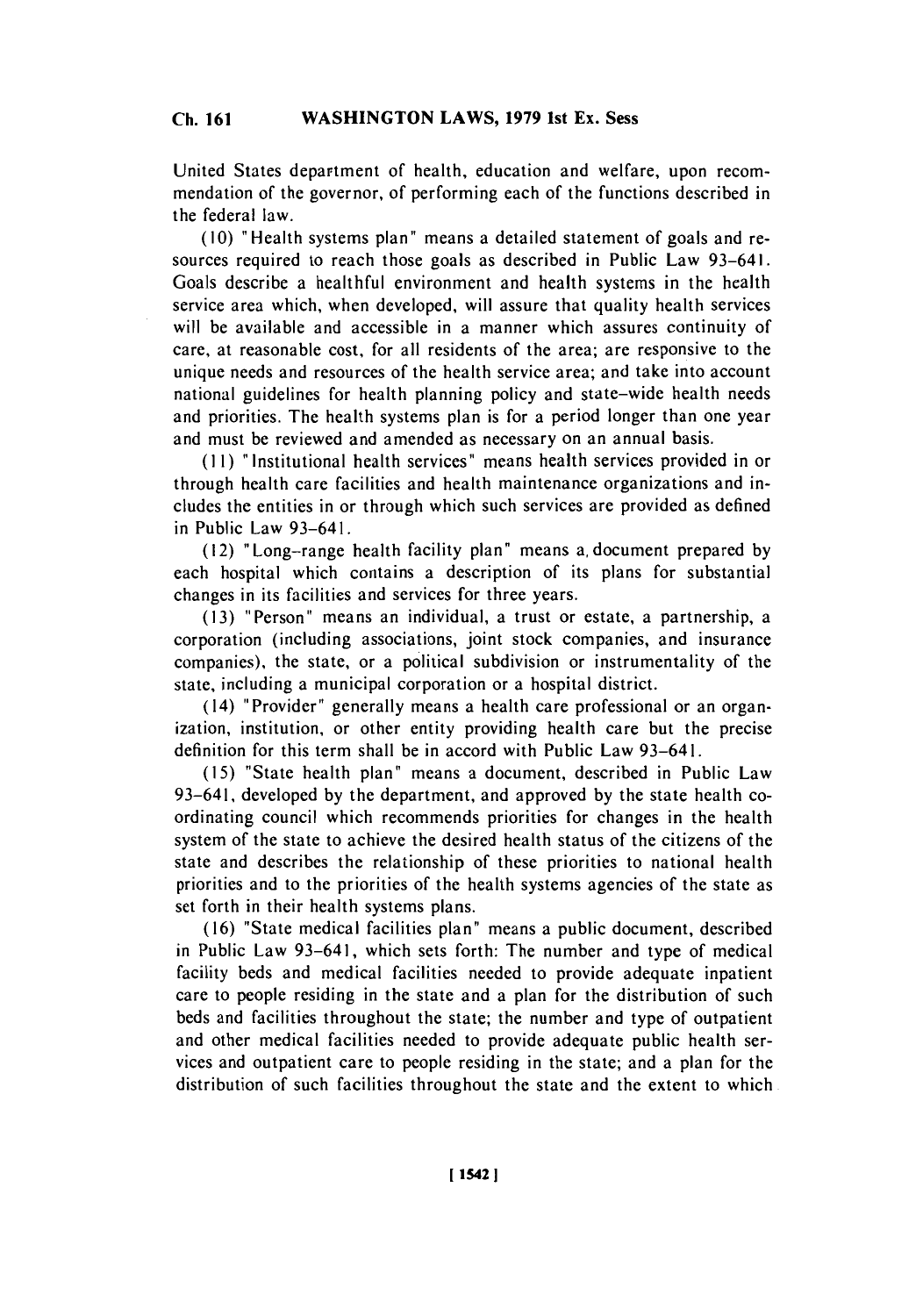United States department of health, education and welfare, upon recommendation of the governor, of performing each of the functions described in the federal law.

**(10)** "Health systems plan" means a detailed statement of goals and resources required to reach those goals as described in Public Law 93-641. Goals describe a healthful environment and health systems in the health service area which, when developed, will assure that quality health services will be available and accessible in a manner which assures continuity of care, at reasonable cost, for all residents of the area; are responsive to the unique needs and resources of the health service area; and take into account national guidelines for health planning policy and state-wide health needs and priorities. The health systems plan is for a period longer than one year and must be reviewed and amended as necessary on an annual basis.

**(11)** "Institutional health services" means health services provided in or through health care facilities and health maintenance organizations and includes the entities in or through which such services are provided as defined in Public Law 93-641.

(12) "Long-range health facility plan" means a, document prepared **by** each hospital which contains a description of its plans for substantial changes in its facilities and services for three years.

**(13)** "Person" means an individual, a trust or estate, a partnership, a corporation (including associations, joint stock companies, and insurance companies), the state, or a political subdivision or instrumentality of the state, including a municipal corporation or a hospital district.

(14) "Provider" generally means a health care professional or an organization, institution, or other entity providing health care but the precise definition for this term shall be in accord with Public Law 93-641.

**(15)** "State health plan" means a document, described in Public Law 93-641, developed **by** the department, and approved **by** the state health coordinating council which recommends priorities for changes in the health system of the state to achieve the desired health status of the citizens of the state and describes the relationship of these priorities to national health priorities and to the priorities of the health systems agencies of the state as set forth in their health systems plans.

**(16)** "State medical facilities plan" means a public document, described in Public Law 93-641, which sets forth: The number and type of medical facility beds and medical facilities needed to provide adequate inpatient care to people residing in the state and a plan for the distribution of such beds and facilities throughout the state; the number and type of outpatient and other medical facilities needed to provide adequate public health services and outpatient care to people residing in the state; and a plan for the distribution of such facilities throughout the state and the extent to which.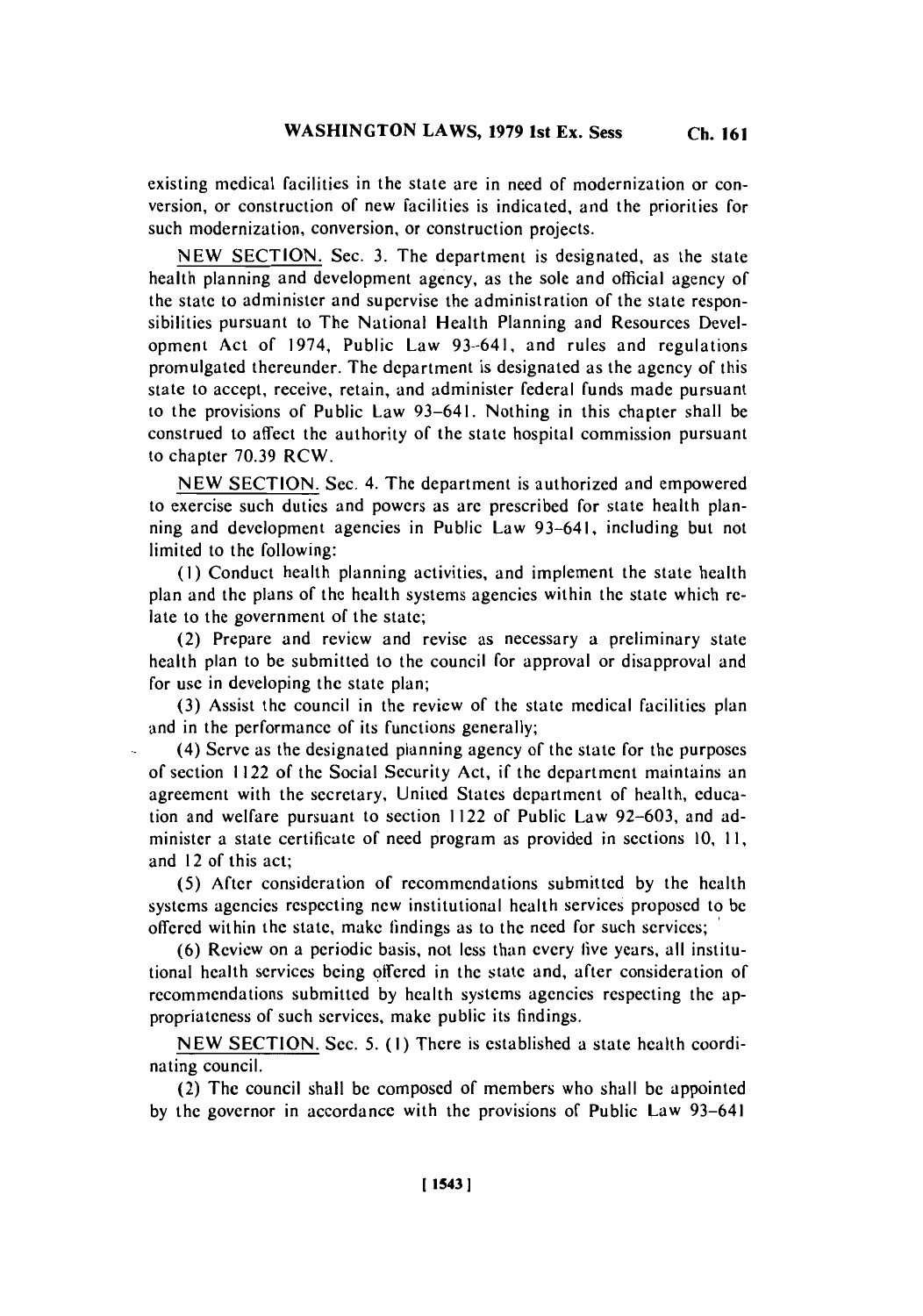**NEW SECTION.** Sec. **3.** The department is designated, as the state health planning and development agency, as the sole and official agency of the state to administer and supervise the administration of the state responsibilities pursuant to The National Health Planning and Resources Development Act of 1974, Public Law 93-641, and rules and regulations promulgated thereunder. The department is designated as the agency of this state to accept, receive, retain, and administer federal funds made pursuant to the provisions of Public Law 93-641. Nothing in this chapter shall be construed to affect the authority of the state hospital commission pursuant to chapter **70.39** RCW.

**NEW SECTION.** Sec. 4. The department is authorized and empowered to exercise such duties and powers as are prescribed for state health planning and development agencies in Public Law 93-641, including but not limited to the following:

**(1)** Conduct health planning activities, and implement the state health plan and the plans of the health systems agencies within the state which relate to the government of the state;

(2) Prepare and review and revise as necessary a preliminary state health plan to be submitted to the council for approval or disapproval and for use in developing the state plan;

**(3)** Assist the council in the review of the state medical facilities plan and in the performance of its functions generally;

(4) Serve as the designated planning agency of the state for the purposes of section 1122 of the Social Security Act, if the department maintains an agreement with the secretary, United States department of health, education and welfare pursuant to section 1122 of Public Law **92-603,** and administer a state certificate of need program as provided in sections **10, 11,** and **12** of this act;

**(5)** After consideration of recommendations submitted **by** the health systems agencies respecting new institutional health services proposed to **be** offered within the state, make findings as to the need for such services;'

**(6)** Review on a periodic basis, not less than every live years, all institutional health services being offered in the state and, after consideration of recommendations submitted **by** health systems agencies respecting the appropriateness of such services, make public its findings.

**NEW SECTION.** Sec. **5. (1)** There is established a state health coordinating council.

(2) The council shall be composed of members who shall **be** appointed by the governor in accordance with the provisions of Public Law 93-641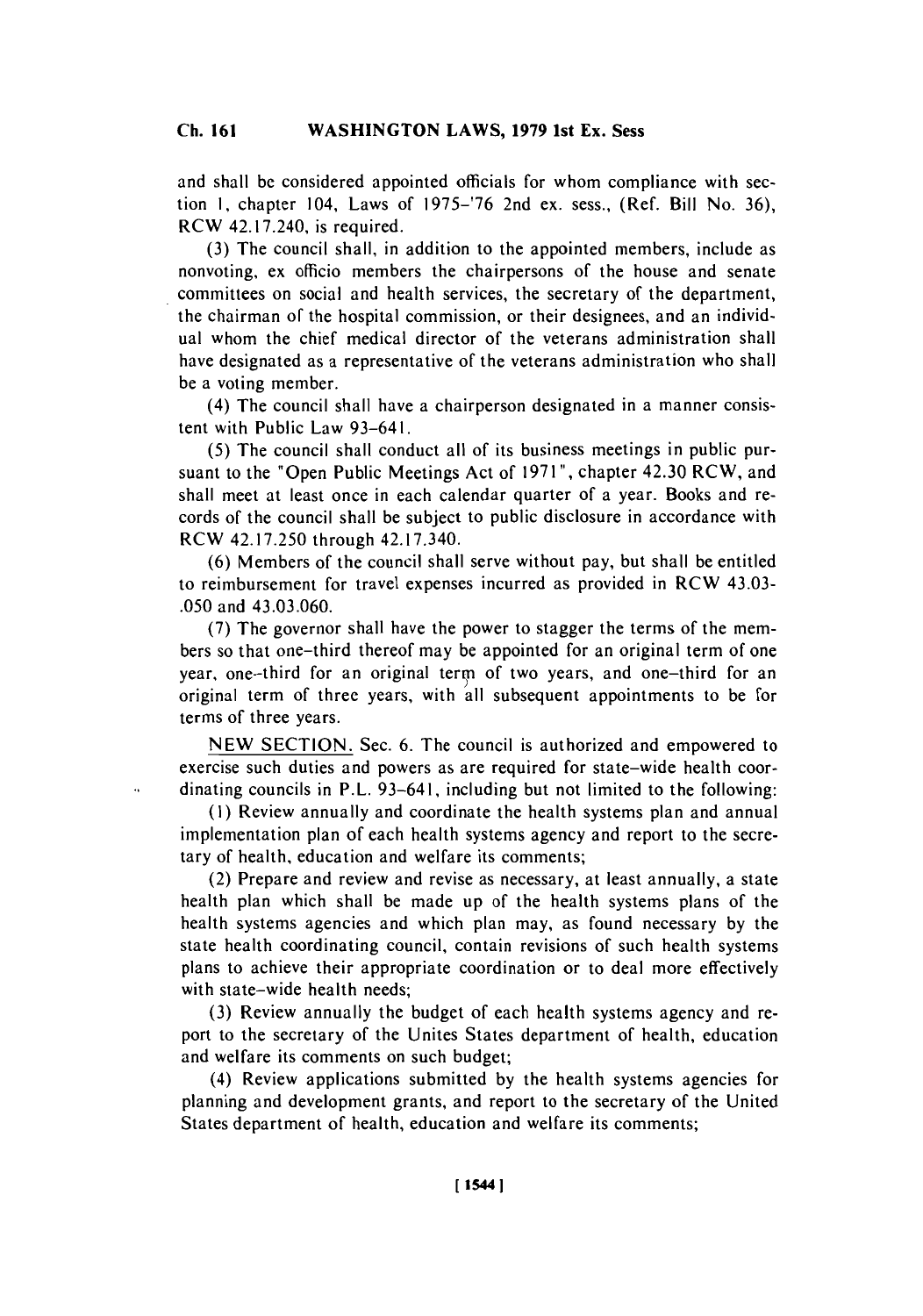and shall **be** considered appointed officials for whom compliance with section **1,** chapter 104, Laws of **1975-'76** 2nd ex. sess., (Ref. Bill No. **36),** RCW 42.17.240, is required.

**(3)** The council shall, in addition to the appointed members, include as nonvoting, ex officio members the chairpersons of the house and senate committees on social and health services, the secretary of the department, the chairman of the hospital commission, or their designees, and an individual whom the chief medical director of the veterans administration shall have designated as a representative of the veterans administration who shall be a voting member.

(4) The council shall have a chairperson designated in a manner consistent with Public Law 93-641.

**(5)** The council shall conduct all of its business meetings in public pursuant to the "Open Public Meetings Act of **1971 ",** chapter 42.30 RCW, and shall meet at least once in each calendar quarter of a year. Books and records of the council shall be subject to public disclosure in accordance with RCW 42.17.250 through 42.17.340.

**(6)** Members of the council shall serve without pay, but shall be entitled to reimbursement for travel expenses incurred as provided in RCW 43.03- **.050** and 43.03.060.

**(7)** The governor shall have the power to stagger the terms of the members so that one-third thereof may be appointed for an original term of one year, one-third for an original term of two years, and one-third for an original term of three years, with all subsequent appointments to be for terms of three years.

**NEW SECTION.** Sec. **6.** The council is authorized and empowered to exercise such duties and powers as are required for state-wide health coordinating councils in P.L. 93-641, including but not limited to the following:

**(1)** Review annually and coordinate the health systems plan and annual implementation plan of each health systems agency and report to the secretary of health, education and welfare its comments;

(2) Prepare and review and revise as necessary, at least annually, a state health plan which shall be made up of the health systems plans of the health systems agencies and which plan may, as found necessary **by** the state health coordinating council, contain revisions of such health systems plans to achieve their appropriate coordination or to deal more effectively with state-wide health needs;

**(3)** Review annually the budget of each health systems agency and report to the secretary of the Unites States department of health, education and welfare its comments on such budget;

(4) Review applications submitted **by** the health systems agencies for planning and development grants, and report to the secretary of the United States department of health, education and welfare its comments;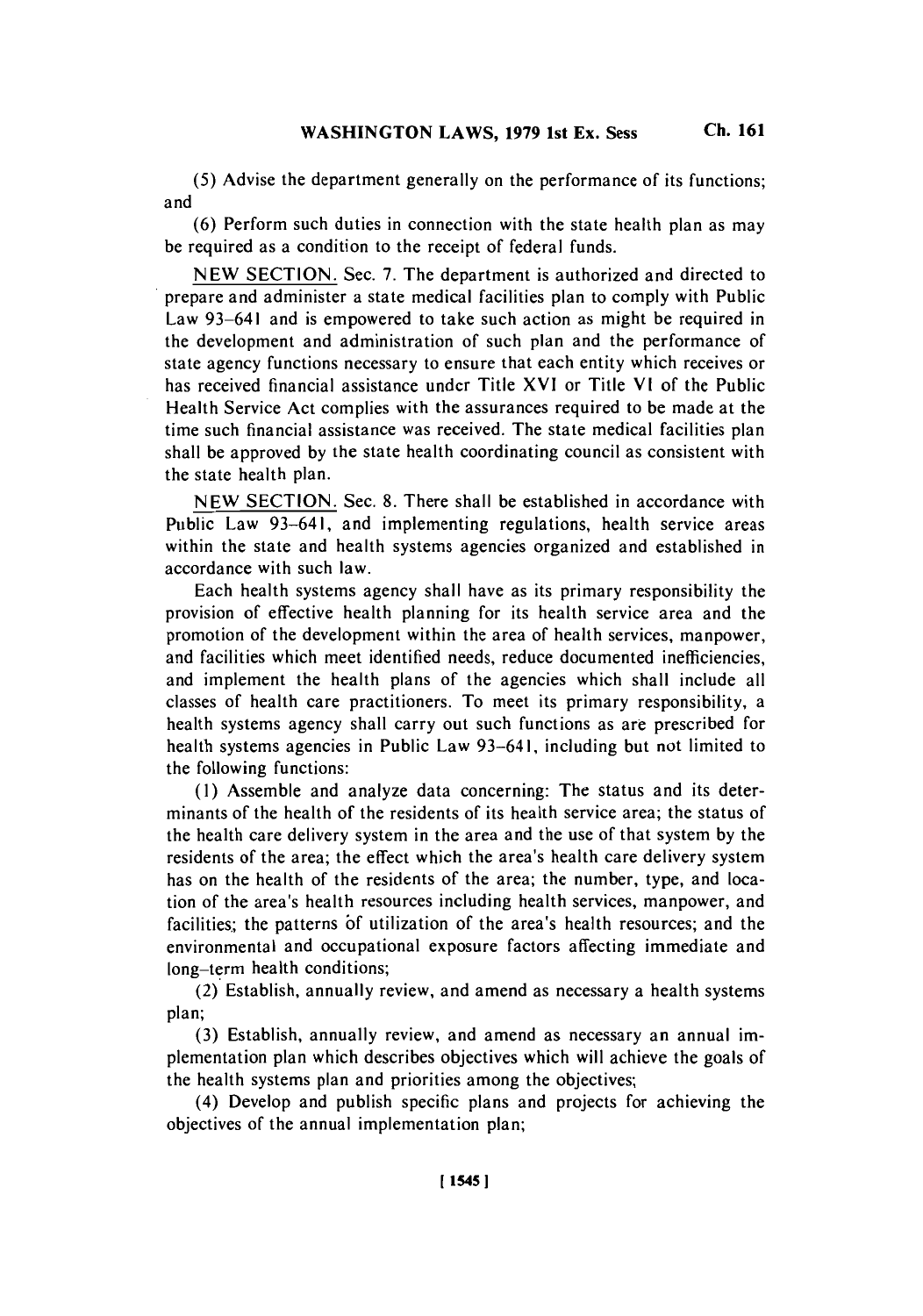**(5)** Advise the department generally on the performance of its functions; and

**(6)** Perform such duties in connection with the state health plan as may be required as a condition to the receipt of federal funds.

**NEW SECTION.** Sec. **7.** The department is authorized and directed to prepare and administer a state medical facilities plan to comply with Public Law 93-641 and is empowered to take such action as might be required in the development and administration of such plan and the performance of state agency functions necessary to ensure that each entity which receives or has received financial assistance under Title XVI or Title V1 of the Public Health Service Act complies with the assurances required to be made at the time such financial assistance was received. The state medical facilities plan shall be approved **by** the state health coordinating council as consistent with the state health plan.

**NEW SECTION.** Sec. **8.** There shall be established in accordance with Public Law 93-641, and implementing regulations, health service areas within the state and health systems agencies organized and established in accordance with such law.

Each health systems agency shall have as its primary responsibility the provision of effective health planning for its health service area and the promotion of the development within the area of health services, manpower, and facilities which meet identified needs, reduce documented inefficiencies, and implement the health plans of the agencies which shall include all classes of health care practitioners. To meet its primary responsibility, a health systems agency shall carry out such functions as are prescribed for health systems agencies in Public Law 93-641, including but not limited to the following functions:

**(I)** Assemble and analyze data concerning: The status and its determinants of the health of the residents of its health service area; the status of the health care delivery system in the area and the use of that system **by** the residents of the area; the effect which the area's health care delivery system has on the health of the residents of the area; the number, type, and location of the area's health resources including health services, manpower, and facilities; the patterns of utilization of the area's health resources; and the environmental and occupational exposure factors affecting immediate and long-term health conditions;

(2) Establish, annually review, and amend as necessary a health systems plan;

**(3)** Establish, annually review, and amend as necessary an annual implementation plan which describes objectives which will achieve the goals of the health systems plan and priorities among the objectives;

(4) Develop and publish specific plans and projects for achieving the objectives of the annual implementation plan;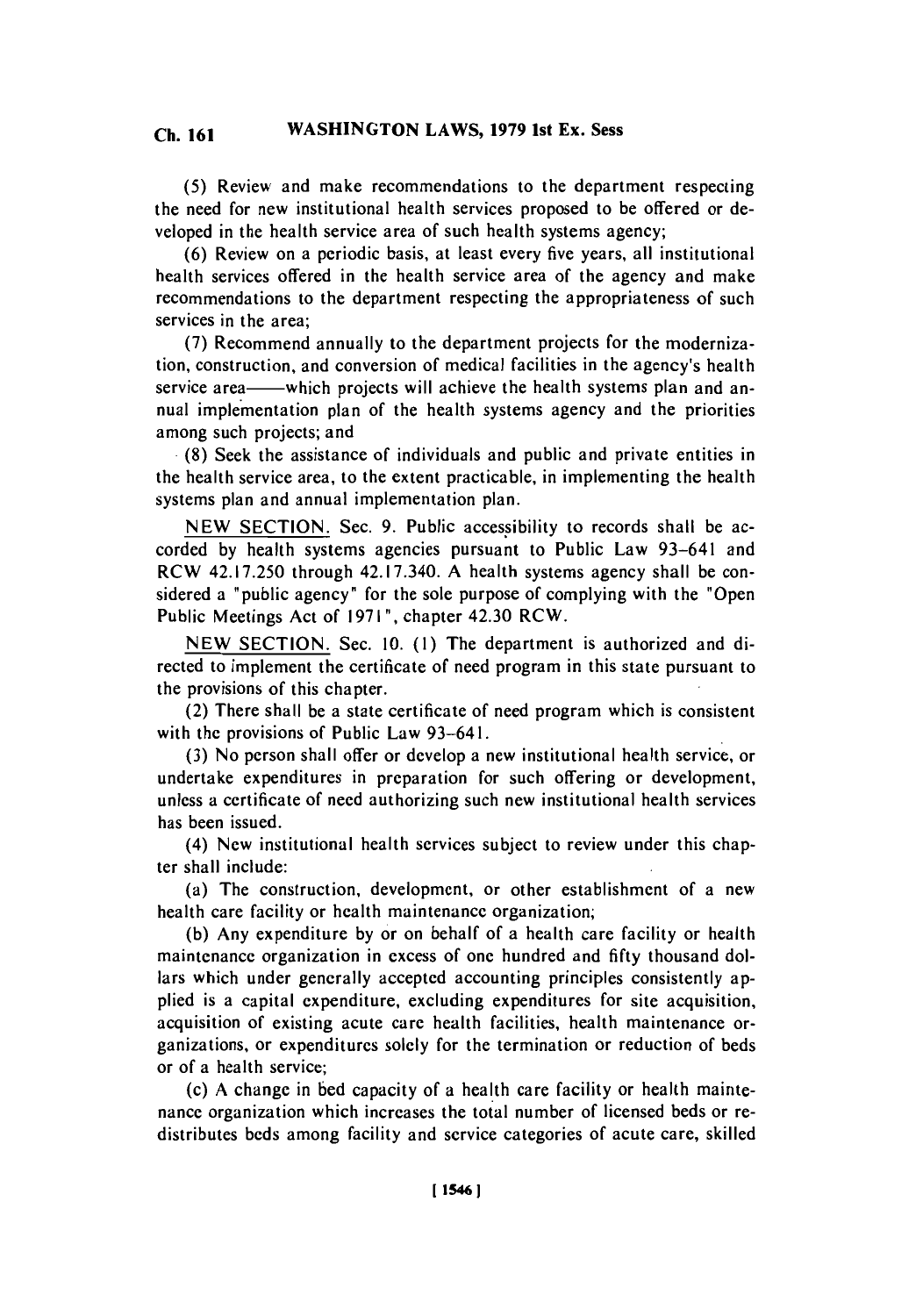**(5)** Review and make recommendations to the department respecting the need for new institutional health services proposed to be offered or developed in the health service area of such health systems agency;

**(6)** Review on a periodic basis, at least every five years, all institutional health services offered in the health service area of the agency and make recommendations to the department respecting the appropriateness of such services in the area;

**(7)** Recommend annually to the department projects for the modernization, construction, and conversion of medical facilities in the agency's health service area—which projects will achieve the health systems plan and annual implementation plan of the health systems agency and the priorities among such projects; and

**(8)** Seek the assistance of individuals and public and private entities in the health service area, to the extent practicable, in implementing the health systems plan and annual implementation plan.

**NEW SECTION.** Sec. **9.** Public accessibility to records shall be accorded **by** health systems agencies pursuant to Public Law 93-641 and RCW 42.17.250 through 42.17.340. **A** health systems agency shall be considered a "public agency" for the sole purpose of complying with the "Open Public Meetings Act of **1971 ",** chapter 42.30 RCW.

**NEW SECTION.** Sec. **10. (1)** The department is authorized and directed to implement the certificate of need program in this state pursuant to the provisions of this chapter.

(2) There shall be a state certificate of need program which is consistent with the provisions of Public Law 93-641.

**(3)** No person shall offer or develop a new institutional health service, or undertake expenditures in preparation for such offering or development, unless a certificate of need authorizing such new institutional health services has been issued.

(4) New institutional health services subject to review under this chapter shall include:

(a) The construction, development, or other establishment of a new health care facility or health maintenance organization;

**(b)** Any expenditure **by** or on behalf of a health care facility or health maintenance organization in excess of one hundred and **fifty** thousand dollars which under generally accepted accounting principles consistently applied is a capital expenditure, excluding expenditures for site acquisition, acquisition of existing acute care health facilities, health maintenance organizations, or expenditures solely for the termination or reduction of beds or of a health service;

(c) **A** change in bed capacity of a health care facility or health maintenance organization which increases the total number of licensed beds or redistributes beds among facility and service categories of acute care, skilled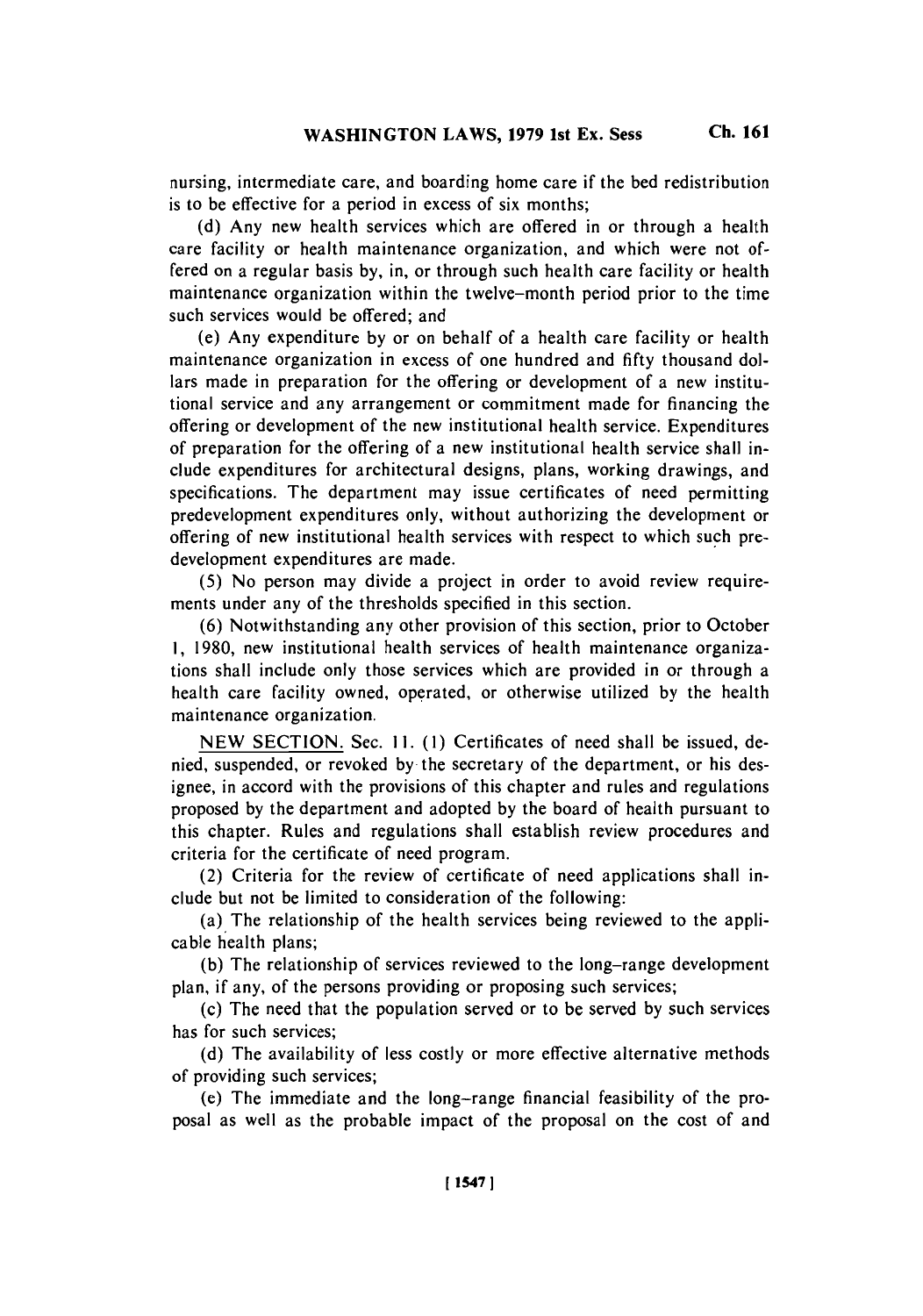nursing, intermediate care, and boarding home care if the bed redistribution is to be effective for a period in excess of six months;

**(d)** Any new health services which are offered in or through a health care facility or health maintenance organization, and which were not offered on a regular basis **by,** in, or through such health care facility or health maintenance organization within the twelve-month period prior to the time such services would be offered; and

(e) Any expenditure **by** or on behalf of a health care facility or health maintenance organization in excess of one hundred and **fifty** thousand dollars made in preparation for the offering or development of a new institutional service and any arrangement or commitment made for financing the offering or development of the new institutional health service. Expenditures of preparation for the offering of a new institutional health service shall include expenditures for architectural designs, plans, working drawings, and specifications. The department may issue certificates of need permitting predevelopment expenditures only, without authorizing the development or offering of new institutional health services with respect to which such predevelopment expenditures are made.

**(5)** No person may divide a project in order to avoid review requirements under any of the thresholds specified in this section.

**(6)** Notwithstanding any other provision of this section, prior to October **1, 1980,** new institutional health services of health maintenance organizations shall include only those services which are provided in or through a health care facility owned, operated, or otherwise utilized **by** the health maintenance organization.

**NEW SECTION.** Sec. **11. (1)** Certificates of need shall be issued, denied, suspended, or revoked **by** the secretary of the department, or his designee, in accord with the provisions of this chapter and rules and regulations proposed **by** the department and adopted **by** the board of health pursuant to this chapter. Rules and regulations shall establish review procedures and criteria for the certificate of need program.

(2) Criteria for the review of certificate of need applications shall include but not be limited to consideration of the following:

(a), The relationship of the health services being reviewed to the applicable health plans;

**(b)** The relationship of services reviewed to the long-range development plan, if any, of the persons providing or proposing such services;

(c) The need that the population served or to be served **by** such services has for such services;

**(d)** The availability of less costly or more effective alternative methods of providing such services;

(e) The immediate and the long-range financial feasibility of the proposal as well as the probable impact of the proposal on the cost of and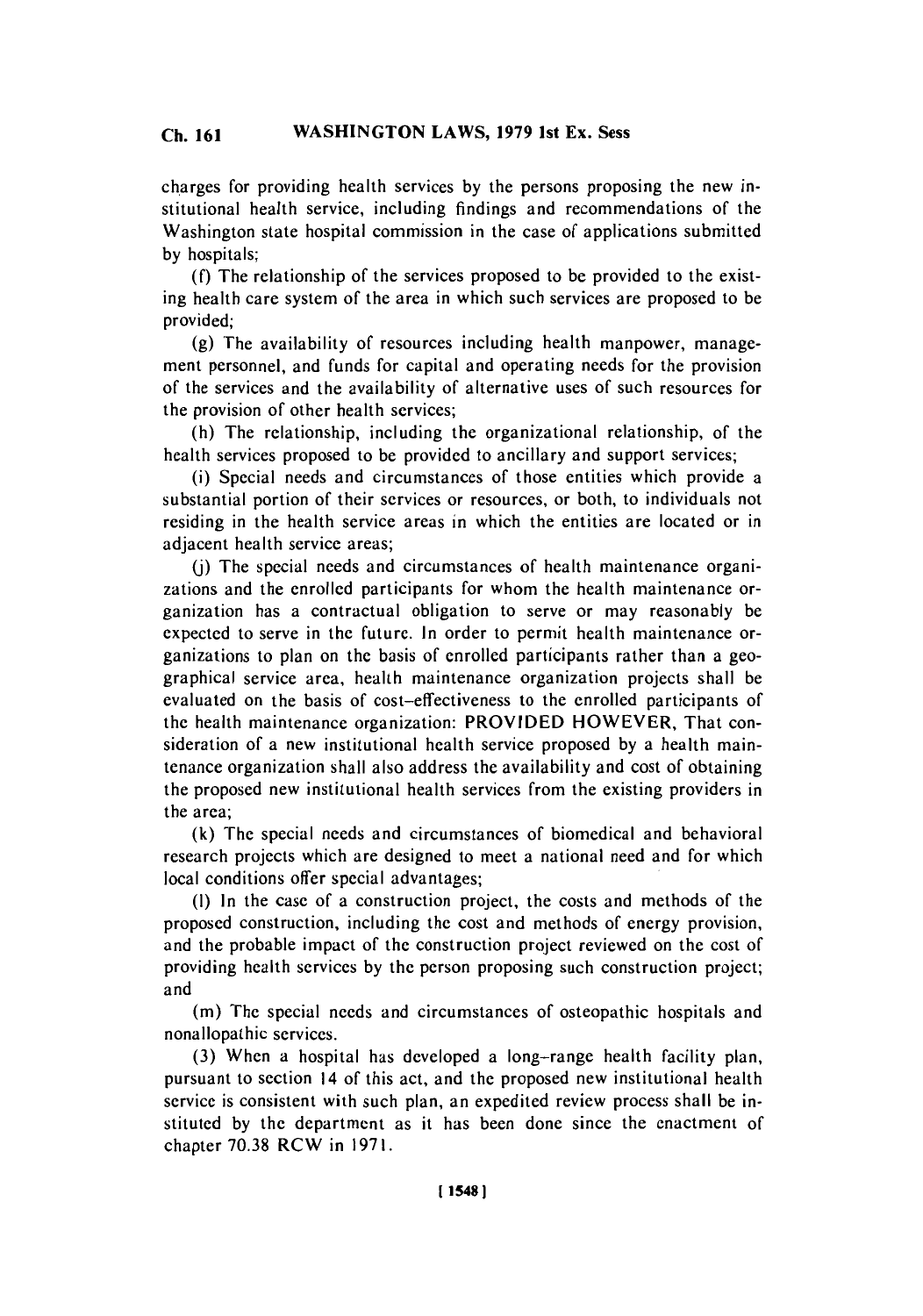charges for providing health services **by** the persons proposing the new institutional health service, including findings and recommendations of the Washington state hospital commission in the case of applications submitted **by** hospitals;

**(f)** The relationship of the services proposed to be provided to the existing health care system of the area in which such services are proposed to be provided;

**(g)** The availability of resources including health manpower, management personnel, and funds for capital and operating needs for the provision of the services and the availability of alternative uses of such resources for the provision of other health services;

(h) The relationship, including the organizational relationship, of the health services proposed to be provided to ancillary and support services;

(i) Special needs and circumstances of those entities which provide a substantial portion of their services or resources, or both, to individuals not residing in the health service areas in which the entities are located or in adjacent health service areas;

**(j)** The special needs and circumstances of health maintenance organizations and the enrolled participants for whom the health maintenance organization has a contractual obligation to serve or may reasonably be expected to serve in the future. In order to permit health maintenance organizations to plan on the basis of enrolled participants rather than a geographical service area, health maintenance organization projects shall be evaluated on the basis of cost-effectiveness to the enrolled participants of the health maintenance organization: PROVIDED HOWEVER, That consideration of a new institutional health service proposed **by** a health maintenance organization shall also address the availability and cost of obtaining the proposed new institutional health services from the existing providers in the area;

**(k)** The special needs and circumstances of biomedical and behavioral research projects which are designed to meet a national need and for which local conditions offer special advantages;

**(1)** In the case of a construction project, the costs and methods of the proposed construction, including the cost and methods of energy provision, and the probable impact of the construction project reviewed on the cost of providing health services **by** the person proposing such construction project; and

**(in)** The special needs and circumstances of osteopathic hospitals and nonallopathic services.

**(3)** When a hospital has developed a long-range health facility plan, pursuant to section 14 of this act, and the proposed new institutional health service is consistent with such plan, an expedited review process shall be instituted **by** the department as it has been done since the enactment of chapter **70.38 RCW in 197 1.**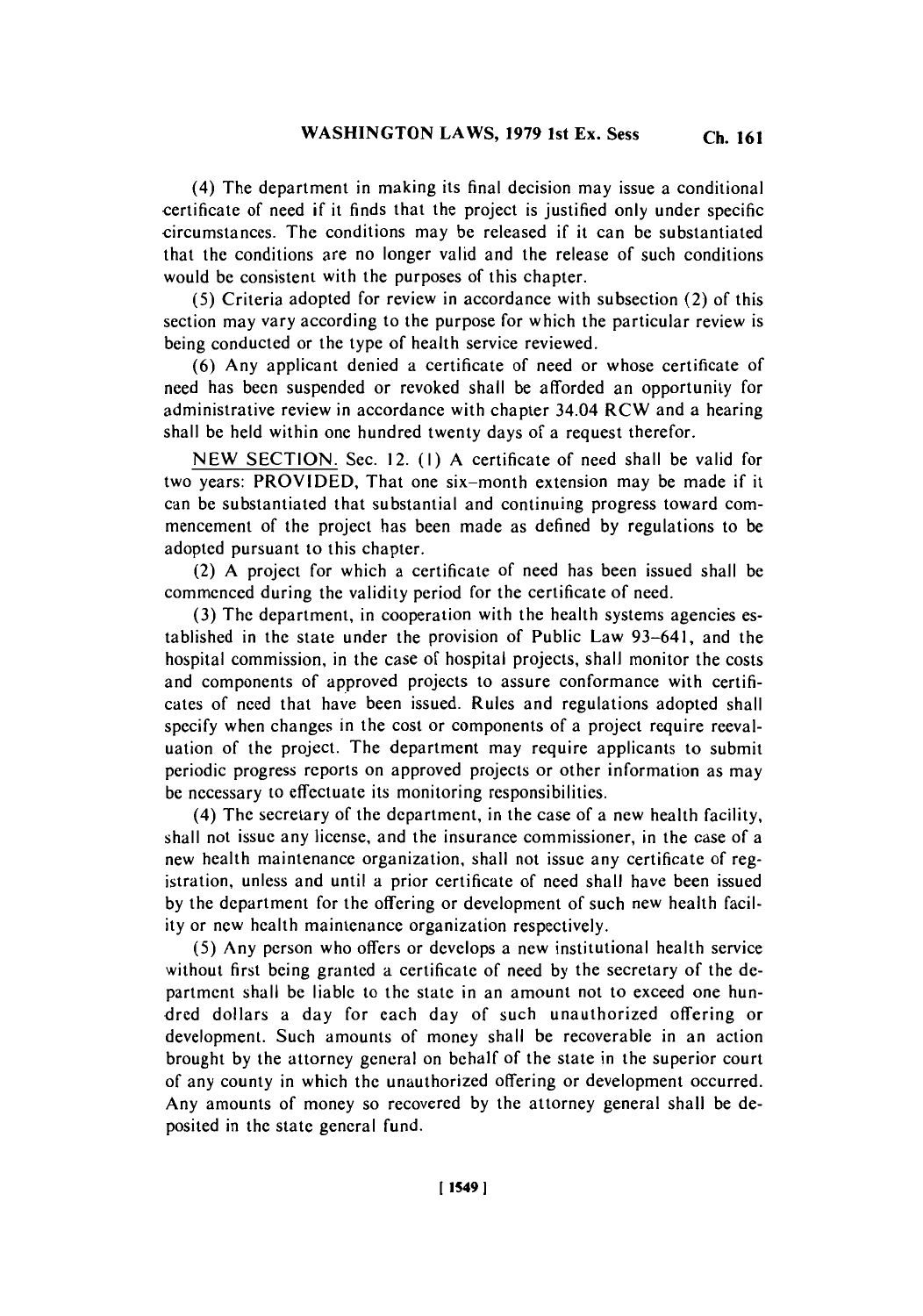(4) **The** department in making its final decision may issue a conditional certificate of need if it finds that the project is justified only under specific circumstances. The conditions may **be** released if it can be substantiated that the conditions are no longer valid and the release of such conditions would be consistent with the purposes of this chapter.

**(5)** Criteria adopted for review in accordance with subsection (2) of this section may vary according to the purpose for which the particular review is being conducted or the type of health service reviewed.

**(6)** Any applicant denied a certificate of need or whose certificate of need has been suspended or revoked shall be afforded an opportunity for administrative review in accordance with chapter 34.04 **RCW** and a hearing shall be held within one hundred twenty days of a request therefor.

**NEW SECTION.** Sec. 12. **(1) A** certificate of need shall be valid for two years: PROVIDED, That one six-month extension may be made if it can be substantiated that substantial and continuing progress toward commencement of the project has been made as defined **by** regulations to be adopted pursuant to this chapter.

(2) **A** project for which a certificate of need has been issued shall be commenced during the validity period for the certificate of need.

**(3)** The department, in cooperation with the health systems agencies established in the state under the provision of Public Law 93-641, and the hospital commission, in the case of hospital projects, shall monitor the costs and components of approved projects to assure conformance with certificates of need that have been issued. Rules and regulations adopted shall specify when changes in the cost or components of a project require reevaluation of the project. The department may require applicants to submit periodic progress reports on approved projects or other information as may be necessary to effectuate its monitoring responsibilities.

(4) The secretary of the department, in the case of a new health facility, shall not issue any license, and the insurance commissioner, in the case of a new health maintenance organization, shall not issue any certificate of registration, unless and until a prior certificate of need shall have been issued **by** the department for the offering or development of such new health facility or new health maintenance organization respectively.

**(5)** Any person who offers or develops a new institutional health service without first being granted a certificate of need **by** the secretary of the department shall be liable to the state in an amount not to exceed one hundred dollars a day for each day of such unauthorized offering or development. Such amounts of money shall be recoverable in an action brought **by** the attorney general on behalf of the state in the superior court of any county in which the unauthorized offering or development occurred. Any amounts of money so recovered **by** the attorney general shall be deposited in the state general fund.

**Ch. 161**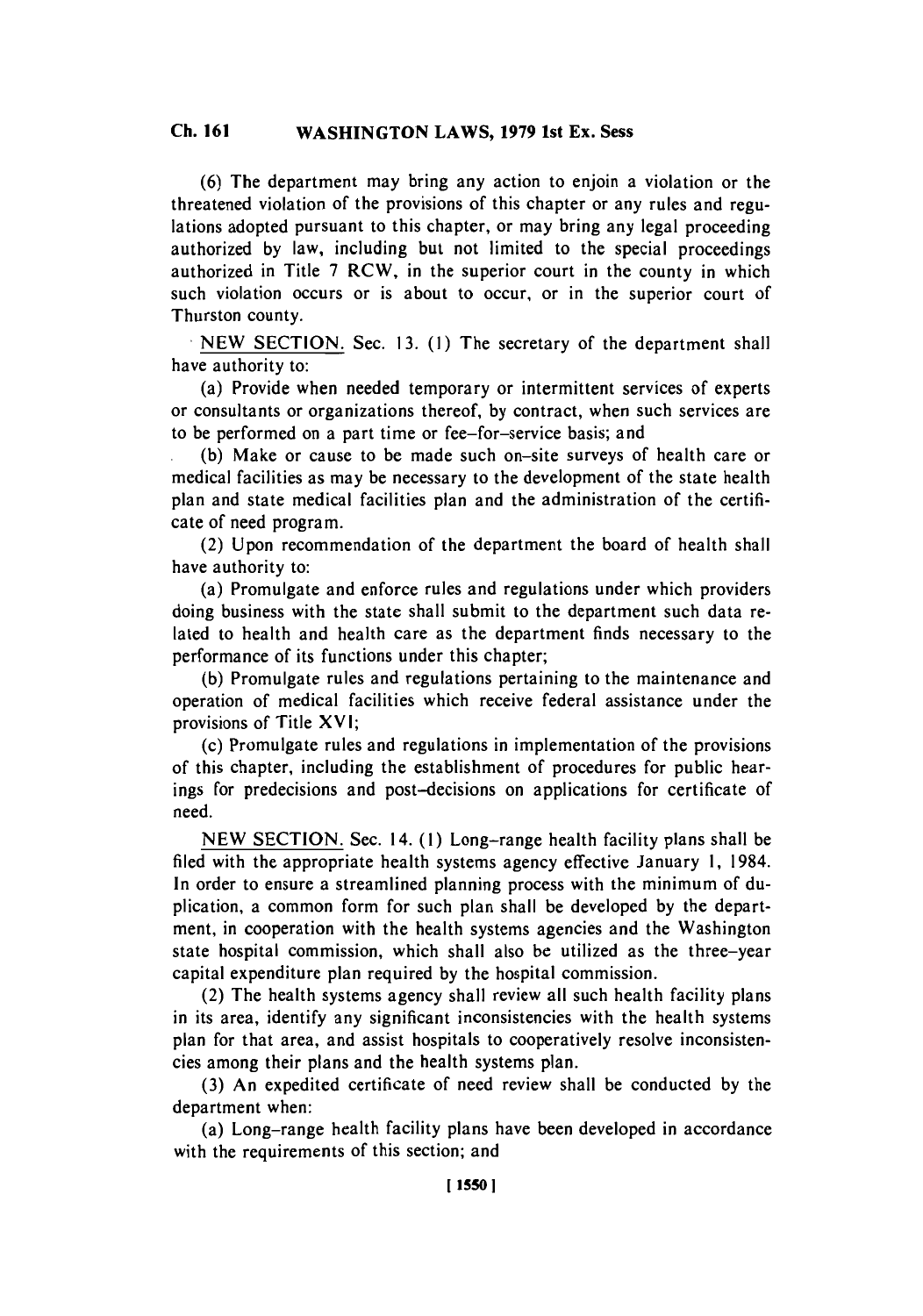**(6)** The department may bring any action to enjoin a violation or the threatened violation of the provisions of this chapter or any rules and regulations adopted pursuant to this chapter, or may bring any legal proceeding authorized **by** law, including but not limited to the special proceedings authorized in Title **7** RCW, in the superior court in the county in which such violation occurs or is about to occur, or in the superior court of Thurston county.

**.NEW SECTION.** Sec. **13. (1)** The secretary of the department shall have authority to:

(a) Provide when needed temporary or intermittent services of experts or consultants or organizations thereof, **by** contract, when such services are to be performed on a part time or fee-for-service basis; and

**(b)** Make or cause to be made such on-site surveys of health care or medical facilities as may be necessary to the development of the state health plan and state medical facilities plan and the administration of the certificate of need program.

(2) Upon recommendation of the department the board of health shall have authority to:

(a) Promulgate and enforce rules and regulations under which providers doing business with the state shall submit to the department such data related to health and health care as the department finds necessary to the performance of its functions under this chapter;

**(b)** Promulgate rules and regulations pertaining to the maintenance and operation of medical facilities which receive federal assistance under the provisions of Title XVI;

(c) Promulgate rules and regulations in implementation of the provisions of this chapter, including the establishment of procedures for public hearings for predecisions and post-decisions on applications for certificate of need.

**NEW SECTION.** Sec. 14. **(1)** Long-range health facility plans shall be filed with the appropriate health systems agency effective January **1,** 1984. In order to ensure a streamlined planning process with the minimum of duplication, a common form for such plan shall be developed **by** the department, in cooperation with the health systems agencies and the Washington state hospital commission, which shall also be utilized as the three-year capital expenditure plan required **by** the hospital commission.

(2) The health systems agency shall review all such health facility plans in its area, identify any significant inconsistencies with the health systems plan for that area, and assist hospitals to cooperatively resolve inconsistencies among their plans and the health systems plan.

**(3)** An expedited certificate of need review shall be conducted **by** the department when:

(a) Long-range health facility plans have been developed in accordance with the requirements of this section; and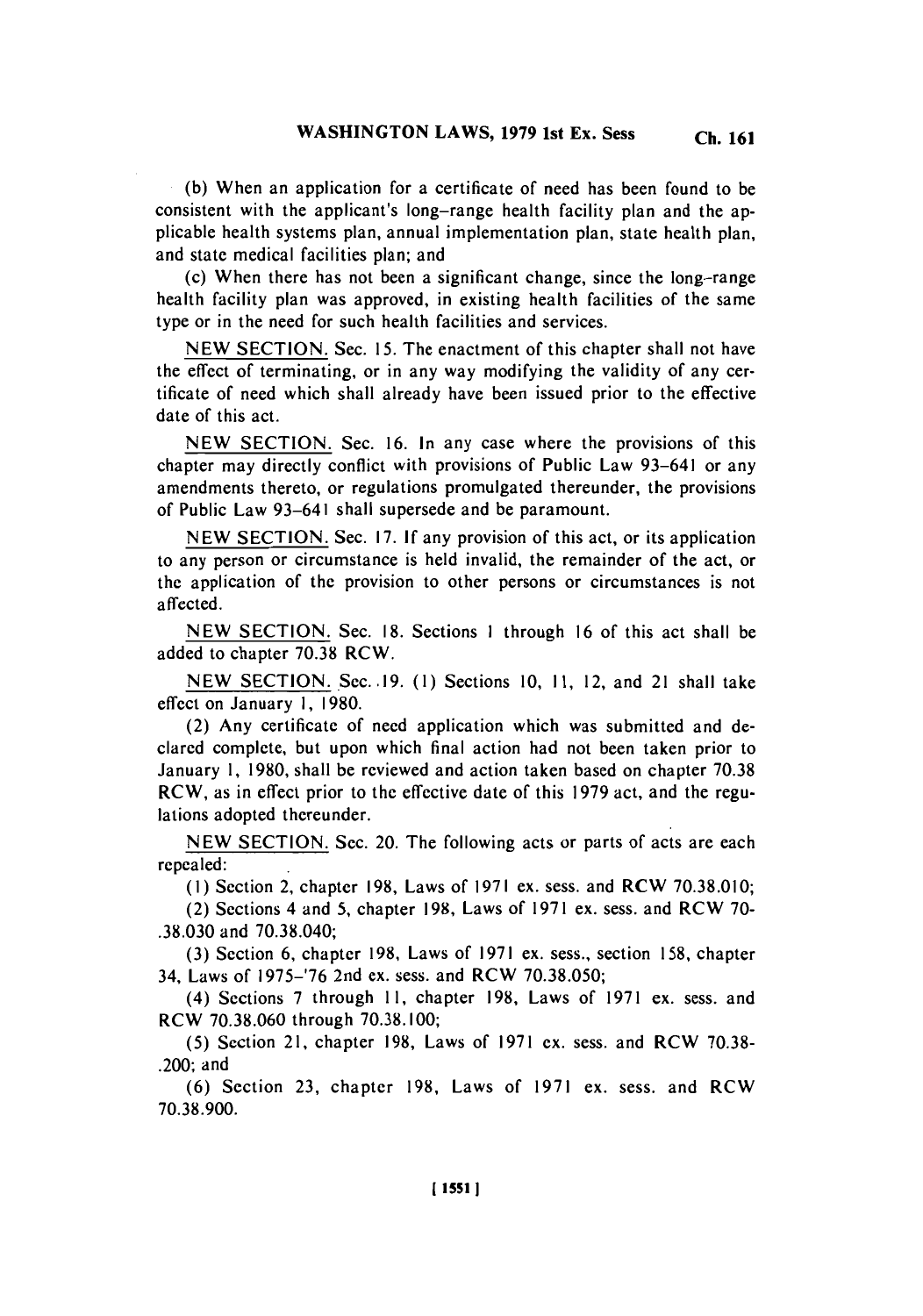**(b) When** an application for a certificate of need has been found to be consistent with the applicant's long-range health facility plan and the applicable health systems plan, annual implementation plan, state health plan, and state medical facilities plan; and

(c) When there has not been a significant change, since the long-range health facility plan was approved, in existing health facilities of the same type or in the need for such health facilities and services.

**NEW SECTION.** Sec. **15.** The enactment of this chapter shall not have the effect of terminating, or in any way modifying the validity of any certificate of need which shall already have been issued prior to the effective date of this act.

**NEW SECTION.** Sec. **16.** In any case where the provisions of this chapter may directly conflict with provisions of Public Law 93-641 or any amendments thereto, or regulations promulgated thereunder, the provisions of Public Law 93-641 shall supersede and be paramount.

**NEW SECTION.** Sec. **17. If** any provision of this act, or its application to any person or circumstance is held invalid, the remainder of the act, or the application of the provision to other persons or circumstances is not affected.

**NEW SECTION.** Sec. **18.** Sections **I** through **16** of this act shall be added to chapter **70.38 RCW.**

**NEW SECTION.** Sec. 19. (1) Sections 10, 11, 12, and 21 shall take effect on January **1, 1980.**

(2) Any certificate of need application which was submitted and declared complete, but upon which final action had not been taken prior to January **1, 1980,** shall be reviewed and action taken based on chapter **70.38 RCW,** as in effect prior to the effective date of this **1979** act, and the regulations adopted thereunder.

**NEW SECTION.** Sec. 20. The following acts or parts of acts are each repealed:

**(1)** Section 2, chapter **198,** Laws of **1971** ex. sess. and RCW **70.38.010;**

(2) Sections 4 and **5,** chapter **198,** Laws of **1971** ex. sess. and RCW **70- .38.030** and **70.38.040;**

**(3)** Section **6,** chapter **198,** Laws of **1971** ex. sess., section **158,** chapter 34, Laws of **1975-'76** 2nd cx. sess. and RCW **70.38.050;**

(4) Sections **7** through **11,** chapter **198,** Laws of **1971** ex. sess. and **RCW 70.38.060** through **70.38.100;**

**(5)** Section 21, chapter **198,** Laws of **1971** ex. sess. and RCW **70.38-** .200; and

**(6)** Section **23,** chapter **198,** Laws of **1971 ex.** sess. and RCW **70.38.900.**